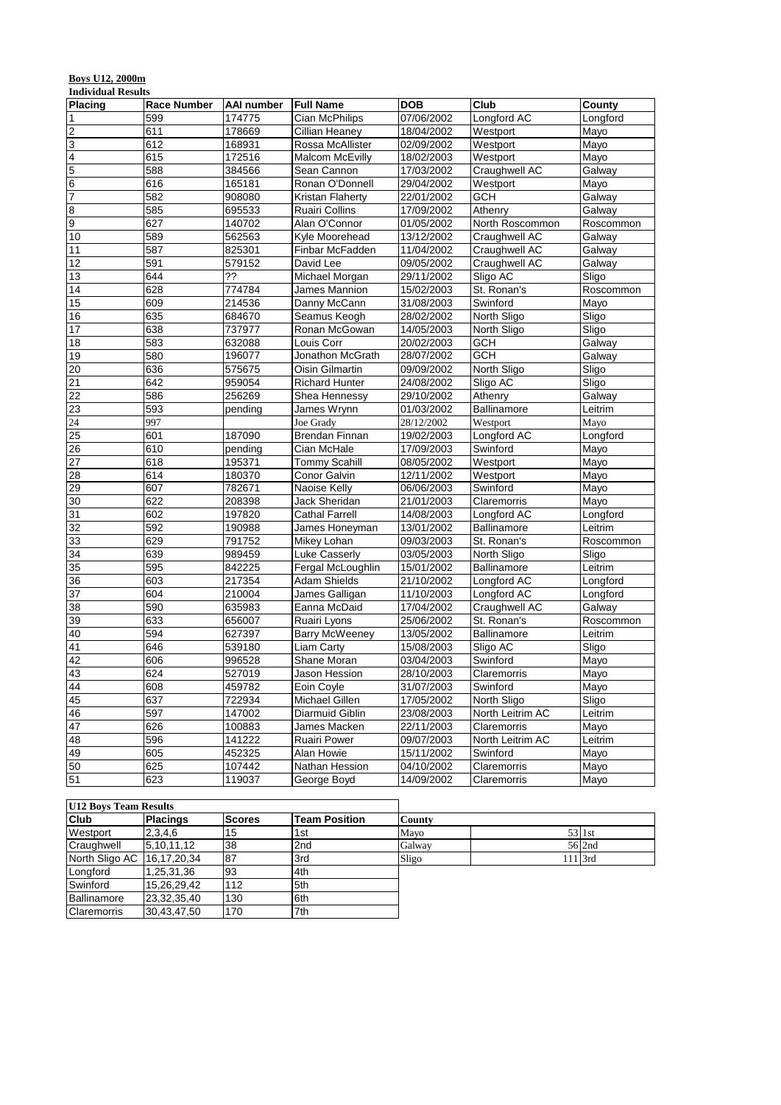# **Boys U12, 2000m**

| <b>Individual Results</b> |                    |                  |                                 |                          |                    |           |
|---------------------------|--------------------|------------------|---------------------------------|--------------------------|--------------------|-----------|
| <b>Placing</b>            | <b>Race Number</b> | AAI number       | <b>Full Name</b>                | <b>DOB</b>               | Club               | County    |
| $\vert$ 1                 | 599                | 174775           | Cian McPhilips                  | 07/06/2002               | Longford AC        | Longford  |
| $\overline{c}$            | 611                | 178669           | Cillian Heaney                  | 18/04/2002               | Westport           | Mayo      |
| 3                         | 612                | 168931           | Rossa McAllister                | 02/09/2002               | Westport           | Mayo      |
| $\overline{\mathbf{4}}$   | 615                | 172516           | <b>Malcom McEvilly</b>          | 18/02/2003               | Westport           | Mayo      |
| 5                         | 588                | 384566           | Sean Cannon                     | 17/03/2002               | Craughwell AC      | Galway    |
| $\overline{6}$            | 616                | 165181           | Ronan O'Donnell                 | 29/04/2002               | Westport           | Mayo      |
| $\overline{7}$            | 582                | 908080           | Kristan Flaherty                | 22/01/2002               | <b>GCH</b>         | Galway    |
| $\bf{8}$                  | 585                | 695533           | <b>Ruairi Collins</b>           | 17/09/2002               | Athenry            | Galway    |
| $\overline{9}$            | 627                | 140702           | Alan O'Connor                   | 01/05/2002               | North Roscommon    | Roscommon |
| 10                        | 589                | 562563           | Kyle Moorehead                  | 13/12/2002               | Craughwell AC      | Galway    |
| 11                        | 587                | 825301           | Finbar McFadden                 | 11/04/2002               | Craughwell AC      | Galway    |
| 12                        | 591                | 579152           | David Lee                       | 09/05/2002               | Craughwell AC      | Galway    |
| 13                        | 644                | ??               | Michael Morgan                  | 29/11/2002               | Sligo AC           | Sligo     |
| 14                        | 628                | 774784           | James Mannion                   | 15/02/2003               | St. Ronan's        | Roscommon |
| 15                        | 609                | 214536           | Danny McCann                    | 31/08/2003               | Swinford           | Mayo      |
| 16                        | 635                | 684670           | Seamus Keogh                    | 28/02/2002               | North Sligo        | Sligo     |
| $\overline{17}$           | 638                | 737977           | Ronan McGowan                   | 14/05/2003               | North Sligo        | Sligo     |
| 18                        | 583                | 632088           | Louis Corr                      | 20/02/2003               | <b>GCH</b>         | Galway    |
| 19                        | 580                | 196077           | Jonathon McGrath                | 28/07/2002               | <b>GCH</b>         | Galway    |
| 20                        | 636                | 575675           | Oisin Gilmartin                 | 09/09/2002               | North Sligo        | Sligo     |
| $\overline{21}$           | 642                | 959054           | <b>Richard Hunter</b>           | 24/08/2002               | Sligo AC           | Sligo     |
| 22                        | 586                | 256269           | Shea Hennessy                   | 29/10/2002               | Athenry            | Galway    |
| 23                        | 593                | pending          | James Wrynn                     | 01/03/2002               | <b>Ballinamore</b> | Leitrim   |
| 24                        | 997                |                  | Joe Grady                       | 28/12/2002               | Westport           | Mayo      |
| 25                        | 601                | 187090           | <b>Brendan Finnan</b>           | 19/02/2003               | Longford AC        | Longford  |
| 26                        | 610                | pending          | Cian McHale                     | 17/09/2003               | Swinford           | Mayo      |
| 27                        | 618                | 195371           | <b>Tommy Scahill</b>            | 08/05/2002               | Westport           | Mayo      |
| $\overline{28}$           | 614                | 180370           | Conor Galvin                    | 12/11/2002               | Westport           | Mayo      |
| 29                        | 607                | 782671           | Naoise Kelly                    | 06/06/2003               | Swinford           | Mayo      |
| 30                        | 622                | 208398           | Jack Sheridan                   | 21/01/2003               | Claremorris        | Mayo      |
| 31                        | 602                | 197820           | <b>Cathal Farrell</b>           | 14/08/2003               | Longford AC        | Longford  |
| 32                        | 592                | 190988           | James Honeyman                  | 13/01/2002               | Ballinamore        | Leitrim   |
| 33                        | 629                | 791752           | Mikey Lohan                     | 09/03/2003               | St. Ronan's        | Roscommon |
| 34                        | 639                | 989459           | Luke Casserly                   | 03/05/2003               | North Sligo        | Sligo     |
| 35                        | 595                | 842225           | Fergal McLoughlin               | 15/01/2002               | Ballinamore        | Leitrim   |
| 36                        | 603                | 217354           | Adam Shields                    | 21/10/2002               | Longford AC        | Longford  |
| 37                        | 604                | 210004           | James Galligan                  | 11/10/2003               | Longford AC        | Longford  |
| 38                        | 590                | 635983           | Eanna McDaid                    | 17/04/2002               | Craughwell AC      | Galway    |
| 39                        | 633                | 656007           | Ruairi Lyons                    | 25/06/2002               | St. Ronan's        | Roscommon |
| 40                        | 594                | 627397           | <b>Barry McWeeney</b>           | 13/05/2002               | Ballinamore        | Leitrim   |
| 41                        | 646                | 539180           | Liam Carty                      | 15/08/2003               | Sligo AC           | Sligo     |
| 42                        | 606                | 996528           | Shane Moran                     | 03/04/2003               | Swinford           |           |
| 43                        | 624                | 527019           |                                 |                          | Claremorris        | Mayo      |
| 44                        |                    | 459782           | Jason Hession                   | 28/10/2003<br>31/07/2003 |                    | Mayo      |
|                           | 608                |                  | Eoin Coyle                      |                          | Swinford           | Mayo      |
| 45                        | 637                | 722934           | Michael Gillen                  | 17/05/2002               | North Sligo        | Sligo     |
| 46<br>47                  | 597<br>626         | 147002<br>100883 | Diarmuid Giblin<br>James Macken | 23/08/2003<br>22/11/2003 | North Leitrim AC   | Leitrim   |
|                           |                    |                  |                                 |                          | Claremorris        | Mayo      |
| 48<br>49                  | 596                | 141222<br>452325 | Ruairi Power                    | 09/07/2003               | North Leitrim AC   | Leitrim   |
|                           | 605                |                  | Alan Howie                      | 15/11/2002               | Swinford           | Mayo      |
| 50                        | 625                | 107442           | Nathan Hession                  | 04/10/2002               | Claremorris        | Mayo      |
| 51                        | 623                | 119037           | George Boyd                     | 14/09/2002               | Claremorris        | Mayo      |

| <b>U12 Boys Team Results</b> |                 |               |                      |        |           |        |
|------------------------------|-----------------|---------------|----------------------|--------|-----------|--------|
| <b>Club</b>                  | <b>Placings</b> | <b>Scores</b> | <b>Team Position</b> | County |           |        |
| Westport                     | 2,3,4,6         | 15            | 1st                  | Mayo   | 53 1st    |        |
| Craughwell                   | 5,10,11,12      | 38            | 2 <sub>nd</sub>      | Galway |           | 56 2nd |
| North Sligo AC 16,17,20,34   |                 | 87            | 3rd                  | Sligo  | $111$ 3rd |        |
| Longford                     | 1,25,31,36      | 93            | 4th                  |        |           |        |
| Swinford                     | 15,26,29,42     | 112           | 5th                  |        |           |        |
| Ballinamore                  | 23.32.35.40     | 130           | 6th                  |        |           |        |
| <b>Claremorris</b>           | 30.43.47.50     | 170           | 7th                  |        |           |        |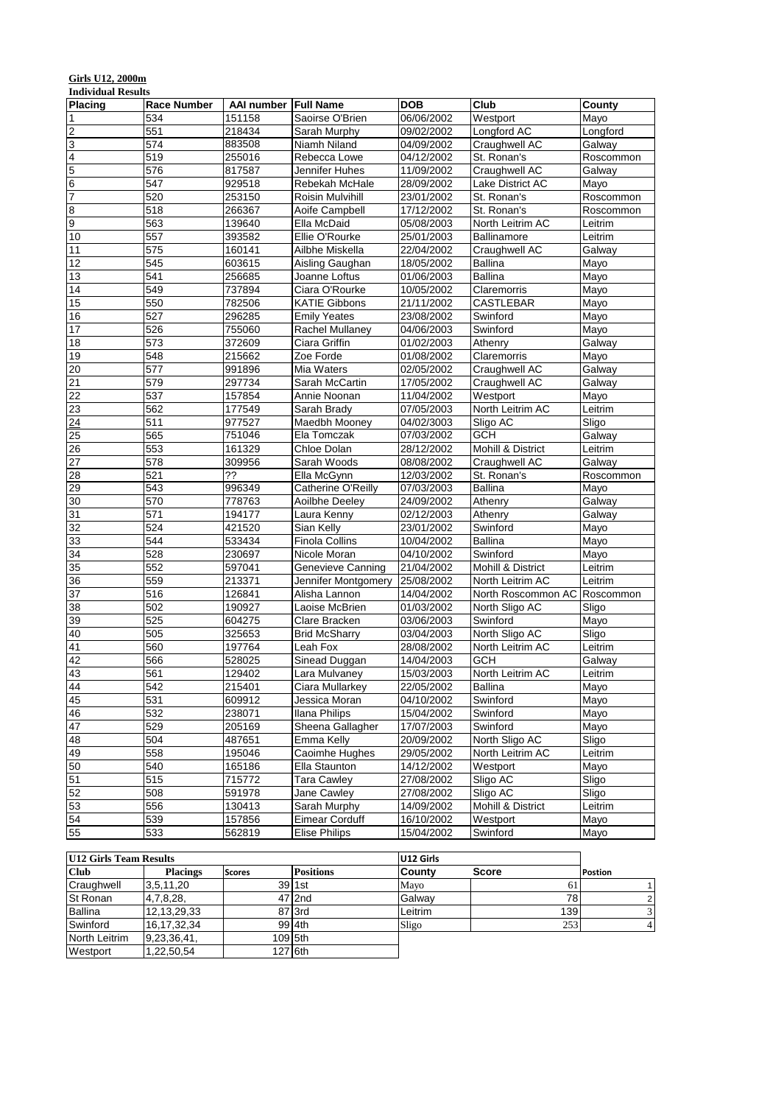# **Girls U12, 2000m**

| <b>Individual Results</b> |                    |            |                       |            |                              |           |
|---------------------------|--------------------|------------|-----------------------|------------|------------------------------|-----------|
| <b>Placing</b>            | <b>Race Number</b> | AAI number | <b>Full Name</b>      | <b>DOB</b> | Club                         | County    |
| $\vert$ 1                 | 534                | 151158     | Saoirse O'Brien       | 06/06/2002 | Westport                     | Mayo      |
| $\overline{c}$            | 551                | 218434     | Sarah Murphy          | 09/02/2002 | Longford AC                  | Longford  |
| 3                         | 574                | 883508     | Niamh Niland          | 04/09/2002 | Craughwell AC                | Galway    |
| $\overline{\mathbf{4}}$   | 519                | 255016     | Rebecca Lowe          | 04/12/2002 | St. Ronan's                  | Roscommon |
| 5                         | 576                | 817587     | Jennifer Huhes        | 11/09/2002 | Craughwell AC                | Galway    |
| $\overline{6}$            | 547                | 929518     | Rebekah McHale        | 28/09/2002 | Lake District AC             | Mayo      |
| $\overline{7}$            | 520                | 253150     | Roisin Mulvihill      | 23/01/2002 | St. Ronan's                  | Roscommon |
| $\bf{8}$                  | 518                | 266367     | Aoife Campbell        | 17/12/2002 | St. Ronan's                  | Roscommon |
| 9                         | 563                | 139640     | Ella McDaid           | 05/08/2003 | North Leitrim AC             | Leitrim   |
| 10                        | 557                | 393582     | Ellie O'Rourke        | 25/01/2003 | Ballinamore                  | Leitrim   |
| 11                        | 575                | 160141     | Ailbhe Miskella       | 22/04/2002 | Craughwell AC                | Galway    |
| 12                        | 545                | 603615     | Aisling Gaughan       | 18/05/2002 | <b>Ballina</b>               | Mayo      |
| 13                        | 541                | 256685     | Joanne Loftus         | 01/06/2003 | <b>Ballina</b>               | Mayo      |
| 14                        | 549                | 737894     | Ciara O'Rourke        | 10/05/2002 | Claremorris                  | Mayo      |
| 15                        | 550                | 782506     | <b>KATIE Gibbons</b>  | 21/11/2002 | <b>CASTLEBAR</b>             | Mayo      |
| 16                        | 527                | 296285     | <b>Emily Yeates</b>   | 23/08/2002 | Swinford                     | Mayo      |
| $\overline{17}$           | 526                | 755060     | Rachel Mullaney       | 04/06/2003 | Swinford                     | Mayo      |
| 18                        | 573                | 372609     | Ciara Griffin         | 01/02/2003 | Athenry                      | Galway    |
| 19                        | 548                | 215662     | Zoe Forde             | 01/08/2002 | Claremorris                  | Mayo      |
| 20                        | 577                | 991896     | Mia Waters            | 02/05/2002 | Craughwell AC                | Galway    |
| $\overline{21}$           | 579                | 297734     | Sarah McCartin        | 17/05/2002 | Craughwell AC                | Galway    |
| 22                        | 537                | 157854     | Annie Noonan          | 11/04/2002 | Westport                     | Mayo      |
| 23                        | 562                | 177549     | Sarah Brady           | 07/05/2003 | North Leitrim AC             | Leitrim   |
| 24                        | 511                | 977527     | Maedbh Mooney         | 04/02/3003 | Sligo AC                     | Sligo     |
| 25                        | 565                | 751046     | Ela Tomczak           | 07/03/2002 | GCH                          | Galway    |
| 26                        | 553                | 161329     | Chloe Dolan           | 28/12/2002 | Mohill & District            | Leitrim   |
| 27                        | 578                | 309956     | Sarah Woods           | 08/08/2002 | Craughwell AC                | Galway    |
| 28                        | 521                | ??         | Ella McGynn           | 12/03/2002 | St. Ronan's                  | Roscommon |
| 29                        | 543                | 996349     | Catherine O'Reilly    | 07/03/2003 | Ballina                      | Mayo      |
| 30                        | 570                | 778763     | Aoilbhe Deeley        | 24/09/2002 | Athenry                      | Galway    |
| 31                        | 571                | 194177     | Laura Kenny           | 02/12/2003 | Athenry                      | Galway    |
| 32                        | 524                | 421520     | Sian Kelly            | 23/01/2002 | Swinford                     | Mayo      |
| 33                        | 544                | 533434     | <b>Finola Collins</b> | 10/04/2002 | <b>Ballina</b>               | Mayo      |
| 34                        | 528                | 230697     | Nicole Moran          | 04/10/2002 | Swinford                     | Mayo      |
| 35                        | 552                | 597041     | Genevieve Canning     | 21/04/2002 | Mohill & District            | Leitrim   |
| 36                        | 559                | 213371     | Jennifer Montgomery   | 25/08/2002 | North Leitrim AC             | Leitrim   |
| 37                        | 516                | 126841     | Alisha Lannon         | 14/04/2002 | North Roscommon AC Roscommon |           |
| $\overline{38}$           | 502                | 190927     | Laoise McBrien        | 01/03/2002 | North Sligo AC               | Sligo     |
| 39                        | 525                | 604275     | Clare Bracken         | 03/06/2003 | Swinford                     | Mayo      |
| 40                        | 505                | 325653     | <b>Brid McSharry</b>  | 03/04/2003 | North Sligo AC               | Sligo     |
| 41                        | 560                | 197764     | Leah Fox              | 28/08/2002 | North Leitrim AC             | Leitrim   |
| 42                        | 566                | 528025     | Sinead Duggan         | 14/04/2003 | GCH                          | Galway    |
| 43                        | 561                | 129402     | Lara Mulvaney         | 15/03/2003 | North Leitrim AC             | Leitrim   |
| 44                        | 542                | 215401     | Ciara Mullarkey       | 22/05/2002 | Ballina                      | Mayo      |
| 45                        | 531                | 609912     | Jessica Moran         | 04/10/2002 | Swinford                     | Mayo      |
| 46                        | 532                | 238071     | Ilana Philips         | 15/04/2002 | Swinford                     | Mayo      |
| 47                        | 529                | 205169     | Sheena Gallagher      | 17/07/2003 | Swinford                     | Mayo      |
| 48                        | 504                | 487651     | Emma Kelly            | 20/09/2002 | North Sligo AC               | Sligo     |
| 49                        | 558                | 195046     | Caoimhe Hughes        | 29/05/2002 | North Leitrim AC             | Leitrim   |
| 50                        | 540                | 165186     | Ella Staunton         | 14/12/2002 | Westport                     | Mayo      |
| 51                        | 515                | 715772     | <b>Tara Cawley</b>    | 27/08/2002 | Sligo AC                     | Sligo     |
| 52                        | 508                | 591978     | Jane Cawley           | 27/08/2002 | Sligo AC                     | Sligo     |
| $\overline{53}$           | 556                | 130413     | Sarah Murphy          | 14/09/2002 | Mohill & District            | Leitrim   |
| 54                        | 539                | 157856     | Eimear Corduff        | 16/10/2002 | Westport                     | Mayo      |
| 55                        | 533                | 562819     | <b>Elise Philips</b>  | 15/04/2002 | Swinford                     | Mayo      |

| U12 Girls Team Results |                 |               |                  | U12 Girls     |                  |                |
|------------------------|-----------------|---------------|------------------|---------------|------------------|----------------|
| <b>Club</b>            | <b>Placings</b> | <b>Scores</b> | <b>Positions</b> | <b>Countv</b> | <b>Score</b>     | <b>Postion</b> |
| Craughwell             | 3,5,11,20       |               | $39$ 1st         | Mayo          | 61               |                |
| <b>St Ronan</b>        | 4,7,8,28,       |               | 47 2nd           | Galway        | 78               |                |
| Ballina                | 12,13,29,33     |               | 87 3rd           | Leitrim       | 139 <sub>1</sub> |                |
| Swinford               | 16,17,32,34     |               | 99 4th           | Sligo         | 253              |                |
| North Leitrim          | 9,23,36,41,     |               | 109 5th          |               |                  |                |
| Westport               | .22,50,54       |               | 127 6th          |               |                  |                |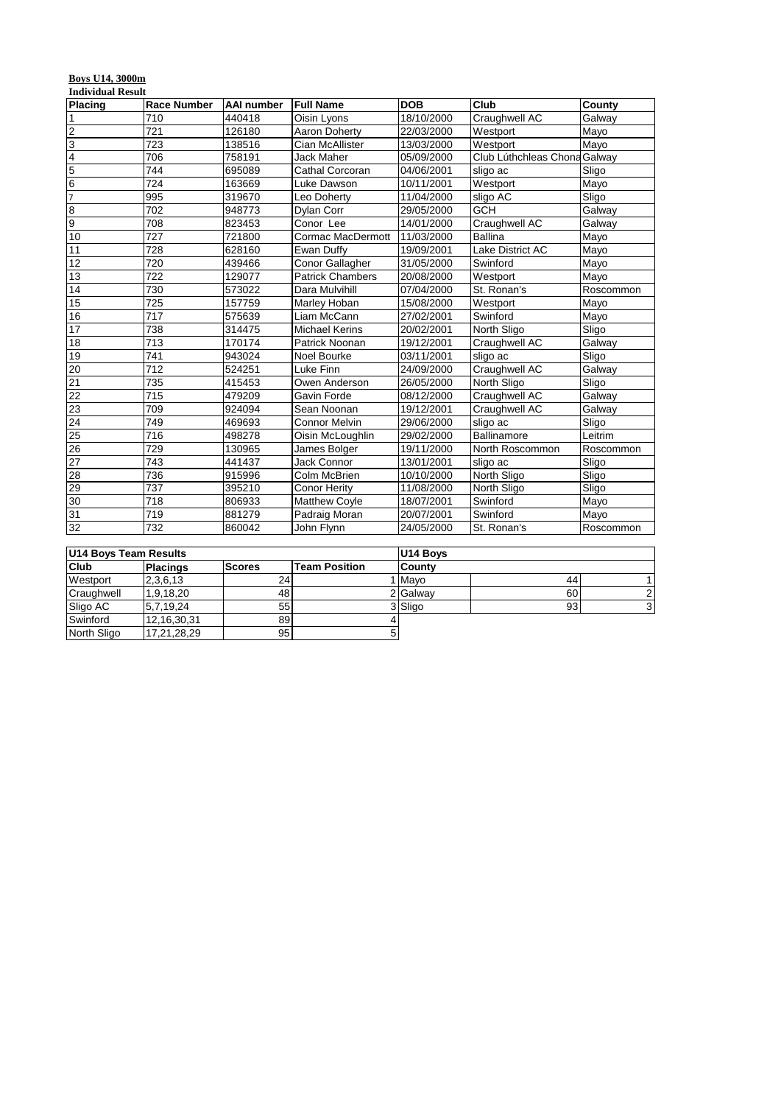#### **Boys U14, 3000m**

|                 | <b>Individual Result</b> |                   |                         |            |                              |           |  |  |  |  |
|-----------------|--------------------------|-------------------|-------------------------|------------|------------------------------|-----------|--|--|--|--|
| Placing         | <b>Race Number</b>       | <b>AAI</b> number | <b>Full Name</b>        | <b>DOB</b> | Club                         | County    |  |  |  |  |
| 1               | 710                      | 440418            | Oisin Lyons             | 18/10/2000 | Craughwell AC                | Galway    |  |  |  |  |
| $\overline{c}$  | 721                      | 126180            | Aaron Doherty           | 22/03/2000 | Westport                     | Mayo      |  |  |  |  |
| 3               | 723                      | 138516            | Cian McAllister         | 13/03/2000 | Westport                     | Mayo      |  |  |  |  |
| $\overline{4}$  | 706                      | 758191            | <b>Jack Maher</b>       | 05/09/2000 | Club Lúthchleas Chona Galway |           |  |  |  |  |
| 5               | 744                      | 695089            | Cathal Corcoran         | 04/06/2001 | sligo ac                     | Sligo     |  |  |  |  |
| $\overline{6}$  | 724                      | 163669            | Luke Dawson             | 10/11/2001 | Westport                     | Mayo      |  |  |  |  |
| $\overline{7}$  | 995                      | 319670            | Leo Doherty             | 11/04/2000 | sligo AC                     | Sligo     |  |  |  |  |
| 8               | 702                      | 948773            | <b>Dylan Corr</b>       | 29/05/2000 | <b>GCH</b>                   | Galway    |  |  |  |  |
| 9               | 708                      | 823453            | Conor Lee               | 14/01/2000 | Craughwell AC                | Galway    |  |  |  |  |
| 10              | 727                      | 721800            | Cormac MacDermott       | 11/03/2000 | <b>Ballina</b>               | Mayo      |  |  |  |  |
| 11              | 728                      | 628160            | Ewan Duffy              | 19/09/2001 | Lake District AC             | Mayo      |  |  |  |  |
| 12              | 720                      | 439466            | <b>Conor Gallagher</b>  | 31/05/2000 | Swinford                     | Mayo      |  |  |  |  |
| 13              | 722                      | 129077            | <b>Patrick Chambers</b> | 20/08/2000 | Westport                     | Mayo      |  |  |  |  |
| 14              | 730                      | 573022            | Dara Mulvihill          | 07/04/2000 | St. Ronan's                  | Roscommon |  |  |  |  |
| 15              | 725                      | 157759            | Marley Hoban            | 15/08/2000 | Westport                     | Mayo      |  |  |  |  |
| 16              | 717                      | 575639            | Liam McCann             | 27/02/2001 | Swinford                     | Mayo      |  |  |  |  |
| 17              | 738                      | 314475            | <b>Michael Kerins</b>   | 20/02/2001 | North Sligo                  | Sligo     |  |  |  |  |
| 18              | 713                      | 170174            | Patrick Noonan          | 19/12/2001 | Craughwell AC                | Galway    |  |  |  |  |
| 19              | 741                      | 943024            | Noel Bourke             | 03/11/2001 | sligo ac                     | Sligo     |  |  |  |  |
| 20              | 712                      | 524251            | Luke Finn               | 24/09/2000 | Craughwell AC                | Galway    |  |  |  |  |
| 21              | 735                      | 415453            | Owen Anderson           | 26/05/2000 | North Sligo                  | Sligo     |  |  |  |  |
| 22              | 715                      | 479209            | Gavin Forde             | 08/12/2000 | Craughwell AC                | Galway    |  |  |  |  |
| 23              | 709                      | 924094            | Sean Noonan             | 19/12/2001 | Craughwell AC                | Galway    |  |  |  |  |
| 24              | 749                      | 469693            | <b>Connor Melvin</b>    | 29/06/2000 | sligo ac                     | Sligo     |  |  |  |  |
| $\overline{25}$ | 716                      | 498278            | Oisin McLoughlin        | 29/02/2000 | Ballinamore                  | Leitrim   |  |  |  |  |
| 26              | 729                      | 130965            | James Bolger            | 19/11/2000 | North Roscommon              | Roscommon |  |  |  |  |
| 27              | 743                      | 441437            | Jack Connor             | 13/01/2001 | sligo ac                     | Sligo     |  |  |  |  |
| 28              | 736                      | 915996            | Colm McBrien            | 10/10/2000 | North Sligo                  | Sligo     |  |  |  |  |
| 29              | 737                      | 395210            | <b>Conor Herity</b>     | 11/08/2000 | North Sligo                  | Sligo     |  |  |  |  |
| 30              | 718                      | 806933            | <b>Matthew Coyle</b>    | 18/07/2001 | Swinford                     | Mayo      |  |  |  |  |
| 31              | 719                      | 881279            | Padraig Moran           | 20/07/2001 | Swinford                     | Mayo      |  |  |  |  |
| 32              | 732                      | 860042            | John Flynn              | 24/05/2000 | St. Ronan's                  | Roscommon |  |  |  |  |

| U14 Boys Team Results |                 |                 |                      | U14 Boys      |    |    |  |
|-----------------------|-----------------|-----------------|----------------------|---------------|----|----|--|
| <b>Club</b>           | <b>Placings</b> | <b>Scores</b>   | <b>Team Position</b> | <b>Countv</b> |    |    |  |
| Westport              | 2,3,6,13        | 24 <sub>1</sub> |                      | <b>Mavo</b>   | 44 |    |  |
| Craughwell            | 1,9,18,20       | 481             |                      | 2 Galway      | 60 |    |  |
| Sligo AC              | 5.7.19.24       | 55              |                      | 3 Sligo       | 93 | 31 |  |
| Swinford              | 12,16,30,31     | 89              |                      |               |    |    |  |
| North Sligo           | 17,21,28,29     | 95 <sub>l</sub> |                      |               |    |    |  |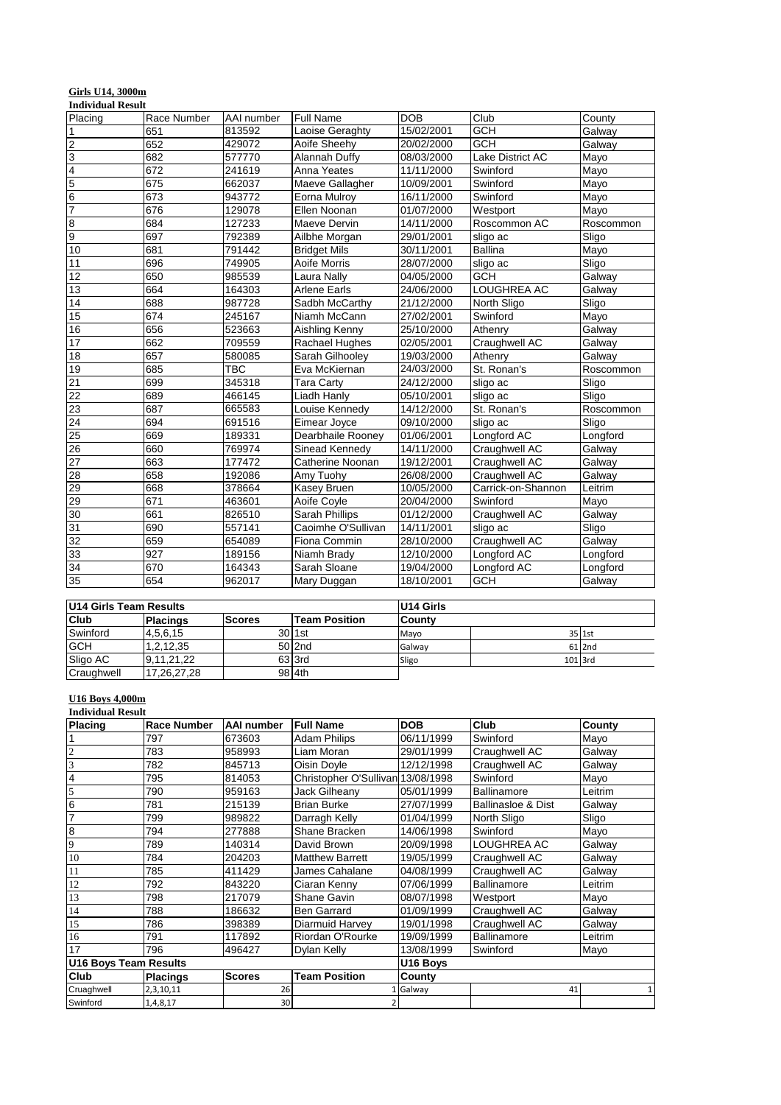| <b>Girls U14, 3000m</b>  |  |
|--------------------------|--|
| <b>Individual Result</b> |  |

| Placing         | Race Number | AAI number | <b>Full Name</b>    | <b>DOB</b> | Club               | County    |
|-----------------|-------------|------------|---------------------|------------|--------------------|-----------|
| 1               | 651         | 813592     | Laoise Geraghty     | 15/02/2001 | <b>GCH</b>         | Galway    |
| 2               | 652         | 429072     | Aoife Sheehy        | 20/02/2000 | <b>GCH</b>         | Galway    |
| 3               | 682         | 577770     | Alannah Duffy       | 08/03/2000 | Lake District AC   | Mayo      |
| 4               | 672         | 241619     | Anna Yeates         | 11/11/2000 | Swinford           | Mayo      |
| 5               | 675         | 662037     | Maeve Gallagher     | 10/09/2001 | Swinford           | Mayo      |
| 6               | 673         | 943772     | Eorna Mulroy        | 16/11/2000 | Swinford           | Mayo      |
| 7               | 676         | 129078     | Ellen Noonan        | 01/07/2000 | Westport           | Mayo      |
| 8               | 684         | 127233     | Maeve Dervin        | 14/11/2000 | Roscommon AC       | Roscommon |
| 9               | 697         | 792389     | Ailbhe Morgan       | 29/01/2001 | sligo ac           | Sligo     |
| 10              | 681         | 791442     | <b>Bridget Mils</b> | 30/11/2001 | <b>Ballina</b>     | Mayo      |
| 11              | 696         | 749905     | Aoife Morris        | 28/07/2000 | sligo ac           | Sligo     |
| 12              | 650         | 985539     | Laura Nally         | 04/05/2000 | <b>GCH</b>         | Galway    |
| 13              | 664         | 164303     | <b>Arlene Earls</b> | 24/06/2000 | <b>LOUGHREA AC</b> | Galway    |
| 14              | 688         | 987728     | Sadbh McCarthy      | 21/12/2000 | North Sligo        | Sligo     |
| 15              | 674         | 245167     | Niamh McCann        | 27/02/2001 | Swinford           | Mayo      |
| 16              | 656         | 523663     | Aishling Kenny      | 25/10/2000 | Athenry            | Galway    |
| 17              | 662         | 709559     | Rachael Hughes      | 02/05/2001 | Craughwell AC      | Galway    |
| 18              | 657         | 580085     | Sarah Gilhooley     | 19/03/2000 | Athenry            | Galway    |
| 19              | 685         | TBC        | Eva McKiernan       | 24/03/2000 | St. Ronan's        | Roscommon |
| 21              | 699         | 345318     | <b>Tara Carty</b>   | 24/12/2000 | sligo ac           | Sligo     |
| 22              | 689         | 466145     | Liadh Hanly         | 05/10/2001 | sligo ac           | Sligo     |
| 23              | 687         | 665583     | Louise Kennedy      | 14/12/2000 | St. Ronan's        | Roscommon |
| 24              | 694         | 691516     | Eimear Joyce        | 09/10/2000 | sligo ac           | Sligo     |
| 25              | 669         | 189331     | Dearbhaile Rooney   | 01/06/2001 | Longford AC        | Longford  |
| 26              | 660         | 769974     | Sinead Kennedy      | 14/11/2000 | Craughwell AC      | Galway    |
| 27              | 663         | 177472     | Catherine Noonan    | 19/12/2001 | Craughwell AC      | Galway    |
| 28              | 658         | 192086     | Amy Tuohy           | 26/08/2000 | Craughwell AC      | Galway    |
| 29              | 668         | 378664     | Kasey Bruen         | 10/05/2000 | Carrick-on-Shannon | Leitrim   |
| 29              | 671         | 463601     | Aoife Coyle         | 20/04/2000 | Swinford           | Mayo      |
| 30              | 661         | 826510     | Sarah Phillips      | 01/12/2000 | Craughwell AC      | Galway    |
| 31              | 690         | 557141     | Caoimhe O'Sullivan  | 14/11/2001 | sligo ac           | Sligo     |
| 32              | 659         | 654089     | Fiona Commin        | 28/10/2000 | Craughwell AC      | Galway    |
| 33              | 927         | 189156     | Niamh Brady         | 12/10/2000 | Longford AC        | Longford  |
| 34              | 670         | 164343     | Sarah Sloane        | 19/04/2000 | Longford AC        | Longford  |
| $\overline{35}$ | 654         | 962017     | Mary Duggan         | 18/10/2001 | <b>GCH</b>         | Galway    |

| U14 Girls Team Results |                 |               |                      | U14 Girls     |  |         |
|------------------------|-----------------|---------------|----------------------|---------------|--|---------|
| <b>Club</b>            | <b>Placings</b> | <b>Scores</b> | <b>Team Position</b> | <b>Countv</b> |  |         |
| Swinford               | 4,5,6,15        |               | $30$ 1st             | Mayo          |  | 35 1st  |
| <b>GCH</b>             | 1,2,12,35       |               | 50 2nd               | Galway        |  | 61 2nd  |
| Sligo AC               | 9.11.21.22      |               | 63 3rd               | Sligo         |  | 101 3rd |
| Craughwell             | 17.26.27.28     |               | 98 4th               |               |  |         |

#### **U16 Boys 4,000m**

|                              | <b>Individual Result</b> |                 |                                   |            |                               |              |  |  |  |
|------------------------------|--------------------------|-----------------|-----------------------------------|------------|-------------------------------|--------------|--|--|--|
| <b>Placing</b>               | Race Number              | AAI number      | <b>Full Name</b>                  | <b>DOB</b> | Club                          | County       |  |  |  |
|                              | 797                      | 673603          | <b>Adam Philips</b>               | 06/11/1999 | Swinford                      | Mayo         |  |  |  |
|                              | 783                      | 958993          | Liam Moran                        | 29/01/1999 | Craughwell AC                 | Galway       |  |  |  |
| 3                            | 782                      | 845713          | Oisin Doyle                       | 12/12/1998 | Craughwell AC                 | Galway       |  |  |  |
| 4                            | 795                      | 814053          | Christopher O'Sullivan 13/08/1998 |            | Swinford                      | Mayo         |  |  |  |
| 5                            | 790                      | 959163          | Jack Gilheany                     | 05/01/1999 | Ballinamore                   | Leitrim      |  |  |  |
| 6                            | 781                      | 215139          | <b>Brian Burke</b>                | 27/07/1999 | <b>Ballinasloe &amp; Dist</b> | Galway       |  |  |  |
| $\overline{7}$               | 799                      | 989822          | Darragh Kelly                     | 01/04/1999 | North Sligo                   | Sligo        |  |  |  |
| 8                            | 794                      | 277888          | Shane Bracken                     | 14/06/1998 | Swinford                      | Mayo         |  |  |  |
| 9                            | 789                      | 140314          | David Brown                       | 20/09/1998 | LOUGHREA AC                   | Galway       |  |  |  |
| 10                           | 784                      | 204203          | <b>Matthew Barrett</b>            | 19/05/1999 | Craughwell AC                 | Galway       |  |  |  |
| 11                           | 785                      | 411429          | James Cahalane                    | 04/08/1999 | Craughwell AC                 | Galway       |  |  |  |
| 12                           | 792                      | 843220          | Ciaran Kenny                      | 07/06/1999 | <b>Ballinamore</b>            | Leitrim      |  |  |  |
| 13                           | 798                      | 217079          | Shane Gavin                       | 08/07/1998 | Westport                      | Mayo         |  |  |  |
| 14                           | 788                      | 186632          | <b>Ben Garrard</b>                | 01/09/1999 | Craughwell AC                 | Galway       |  |  |  |
| 15                           | 786                      | 398389          | Diarmuid Harvey                   | 19/01/1998 | Craughwell AC                 | Galway       |  |  |  |
| 16                           | 791                      | 117892          | Riordan O'Rourke                  | 19/09/1999 | Ballinamore                   | Leitrim      |  |  |  |
| 17                           | 796                      | 496427          | Dylan Kelly                       | 13/08/1999 | Swinford                      | Mayo         |  |  |  |
| <b>U16 Boys Team Results</b> |                          |                 |                                   | U16 Boys   |                               |              |  |  |  |
| Club                         | <b>Placings</b>          | <b>Scores</b>   | <b>Team Position</b>              | County     |                               |              |  |  |  |
| Cruaghwell                   | 2,3,10,11                | 26              |                                   | Galway     | 41                            | $\mathbf{1}$ |  |  |  |
| Swinford                     | 1,4,8,17                 | 30 <sup>1</sup> |                                   |            |                               |              |  |  |  |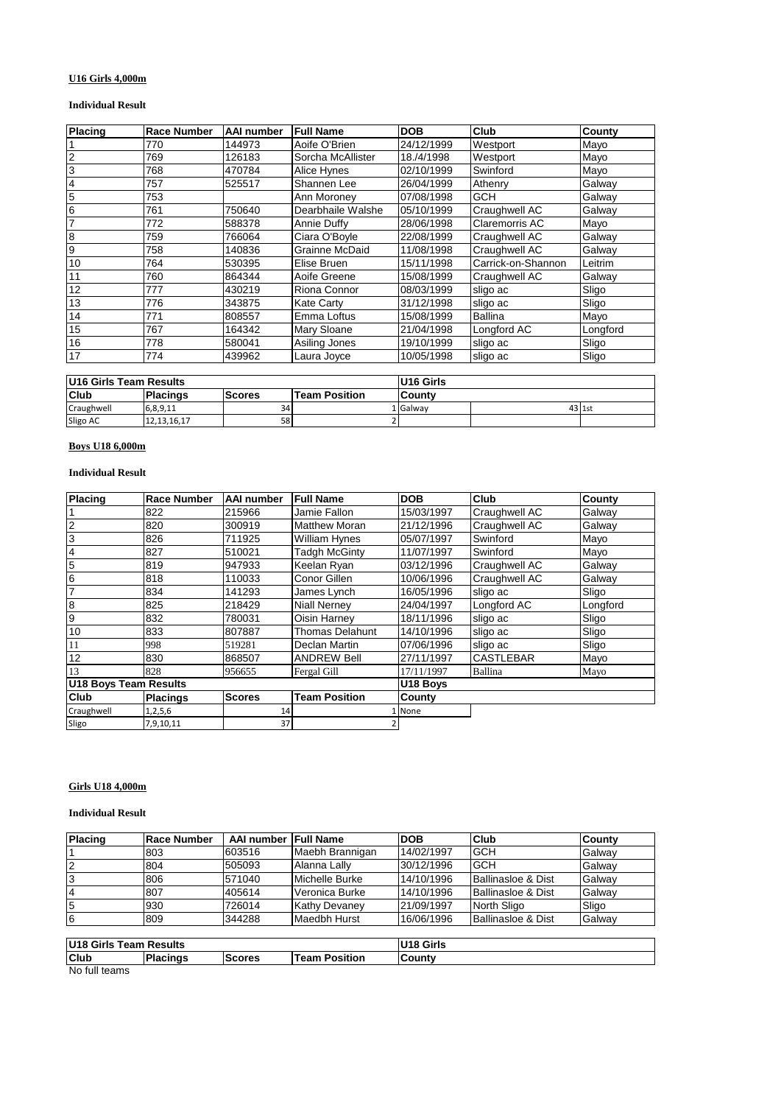# **U16 Girls 4,000m**

#### **Individual Result**

| Placing | Race Number | AAI number | <b>Full Name</b>   | <b>DOB</b> | Club               | County   |
|---------|-------------|------------|--------------------|------------|--------------------|----------|
|         | 770         | 144973     | Aoife O'Brien      | 24/12/1999 | Westport           | Mayo     |
| 2       | 769         | 126183     | Sorcha McAllister  | 18./4/1998 | Westport           | Mayo     |
| 3       | 768         | 470784     | Alice Hynes        | 02/10/1999 | Swinford           | Mayo     |
| 4       | 757         | 525517     | Shannen Lee        | 26/04/1999 | Athenry            | Galway   |
| 5       | 753         |            | Ann Moroney        | 07/08/1998 | GCH                | Galway   |
| 6       | 761         | 750640     | Dearbhaile Walshe  | 05/10/1999 | Craughwell AC      | Galway   |
|         | 772         | 588378     | Annie Duffy        | 28/06/1998 | Claremorris AC     | Mayo     |
| 8       | 759         | 766064     | Ciara O'Boyle      | 22/08/1999 | Craughwell AC      | Galway   |
| 9       | 758         | 140836     | Grainne McDaid     | 11/08/1998 | Craughwell AC      | Galway   |
| 10      | 764         | 530395     | Elise Bruen        | 15/11/1998 | Carrick-on-Shannon | Leitrim  |
| 11      | 760         | 864344     | Aoife Greene       | 15/08/1999 | Craughwell AC      | Galway   |
| 12      | 777         | 430219     | Riona Connor       | 08/03/1999 | sligo ac           | Sligo    |
| 13      | 776         | 343875     | <b>Kate Carty</b>  | 31/12/1998 | sligo ac           | Sligo    |
| 14      | 771         | 808557     | Emma Loftus        | 15/08/1999 | <b>Ballina</b>     | Mayo     |
| 15      | 767         | 164342     | <b>Mary Sloane</b> | 21/04/1998 | Longford AC        | Longford |
| 16      | 778         | 580041     | Asiling Jones      | 19/10/1999 | sligo ac           | Sligo    |
| 17      | 774         | 439962     | Laura Joyce        | 10/05/1998 | sligo ac           | Sligo    |

| <b>IU16 Girls Team Results</b> |                 |               |                      | U16 Girls |  |        |
|--------------------------------|-----------------|---------------|----------------------|-----------|--|--------|
| Club                           | <b>Placings</b> | <b>Scores</b> | <b>Team Position</b> | County    |  |        |
| Craughwell                     | 6,8,9,11        | 34            |                      | L Galwav  |  | 43 1st |
| Sligo AC                       | 12, 13, 16, 17  | 58            |                      |           |  |        |

## **Boys U18 6,000m**

#### **Individual Result**

| Placing               | <b>Race Number</b> | AAI number    | <b>Full Name</b>                               | <b>DOB</b>                  | Club             | County   |
|-----------------------|--------------------|---------------|------------------------------------------------|-----------------------------|------------------|----------|
|                       | 822                | 215966        | Jamie Fallon                                   | 15/03/1997                  | Craughwell AC    | Galway   |
| $\overline{2}$        | 820                | 300919        | <b>Matthew Moran</b>                           | 21/12/1996                  | Craughwell AC    | Galway   |
| 3                     | 826                | 711925        | Swinford<br>05/07/1997<br><b>William Hynes</b> |                             |                  | Mayo     |
| 4                     | 827                | 510021        | <b>Tadgh McGinty</b><br>Swinford<br>11/07/1997 |                             |                  | Mayo     |
| 5                     | 819                | 947933        | Keelan Ryan                                    | 03/12/1996<br>Craughwell AC |                  | Galway   |
| 6                     | 818                | 110033        | Conor Gillen                                   | Craughwell AC<br>10/06/1996 |                  | Galway   |
| $\overline{7}$        | 834                | 141293        | James Lynch                                    | 16/05/1996                  | sligo ac         | Sligo    |
| 8                     | 825                | 218429        | <b>Niall Nernev</b>                            | 24/04/1997                  | Longford AC      | Longford |
| 9                     | 832                | 780031        | Oisin Harney                                   | 18/11/1996<br>sligo ac      |                  | Sligo    |
| 10                    | 833                | 807887        | <b>Thomas Delahunt</b>                         | 14/10/1996                  | sligo ac         | Sligo    |
| 11                    | 998                | 519281        | Declan Martin                                  | 07/06/1996                  | sligo ac         | Sligo    |
| 12                    | 830                | 868507        | <b>ANDREW Bell</b>                             | 27/11/1997                  | <b>CASTLEBAR</b> | Mayo     |
| 13                    | 828                | 956655        | Fergal Gill                                    | 17/11/1997                  | Ballina          | Mayo     |
| U18 Boys Team Results |                    |               | U18 Boys                                       |                             |                  |          |
| <b>Club</b>           | <b>Placings</b>    | <b>Scores</b> | <b>Team Position</b>                           | County                      |                  |          |
| Craughwell            | 1,2,5,6            | 14            |                                                | 1 None                      |                  |          |
| Sligo                 | 7,9,10,11          | 37            |                                                |                             |                  |          |

## **Girls U18 4,000m**

#### **Individual Result**

| <b>Placing</b>         | <b>Race Number</b> | AAI number Full Name |                      | <b>DOB</b> | Club                          | County |
|------------------------|--------------------|----------------------|----------------------|------------|-------------------------------|--------|
|                        | 803                | 603516               | Maebh Brannigan      | 14/02/1997 | <b>GCH</b>                    | Galway |
| <b>2</b>               | 804                | 505093               | Alanna Lally         | 30/12/1996 | <b>GCH</b>                    | Galway |
| 3                      | 806                | 571040               | Michelle Burke       | 14/10/1996 | Ballinasloe & Dist            | Galway |
| $\overline{4}$         | 807                | 405614               | Veronica Burke       | 14/10/1996 | <b>Ballinasloe &amp; Dist</b> | Galway |
| 5                      | 930                | 726014               | <b>Kathy Devaney</b> | 21/09/1997 | North Sligo                   | Sligo  |
| 6                      | 809                | 344288               | Maedbh Hurst         | 16/06/1996 | <b>Ballinasloe &amp; Dist</b> | Galway |
|                        |                    |                      |                      |            |                               |        |
| U18 Girls Team Results |                    |                      |                      | U18 Girls  |                               |        |
| Club                   | <b>Placings</b>    | <b>Scores</b>        | <b>Team Position</b> | County     |                               |        |

No full teams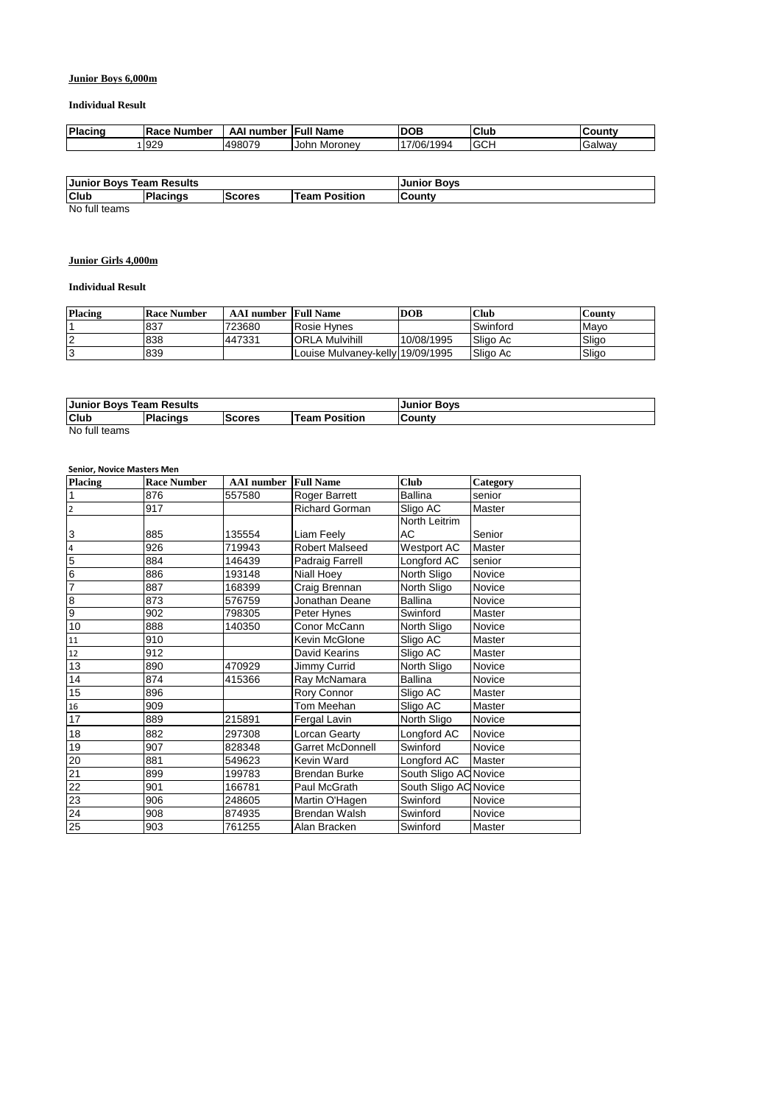## **Junior Boys 6,000m**

#### **Individual Result**

| <b>Placing</b> | <b>IRace Number</b> | number<br>AA. | <b>Full Name</b> | <b>DOB</b> | <b>Club</b> | ان Countv |
|----------------|---------------------|---------------|------------------|------------|-------------|-----------|
|                | 929                 | 498079        | John<br>Moronev  | 17/06/1994 | <b>IGCH</b> | lGalwav   |

| <b>Junior Boys Team Results</b>                                                                                                                                                                                                                                                                                                    |                 |               | <b>Junior Boys</b>        |         |
|------------------------------------------------------------------------------------------------------------------------------------------------------------------------------------------------------------------------------------------------------------------------------------------------------------------------------------|-----------------|---------------|---------------------------|---------|
| <b>Club</b>                                                                                                                                                                                                                                                                                                                        | <b>Placings</b> | <b>Scores</b> | <b>Position</b><br>Team . | lCountv |
| $\mathbf{A}$ $\mathbf{I}$ $\mathbf{A}$ $\mathbf{A}$ $\mathbf{A}$ $\mathbf{A}$ $\mathbf{A}$ $\mathbf{A}$ $\mathbf{A}$ $\mathbf{A}$ $\mathbf{A}$ $\mathbf{A}$ $\mathbf{A}$ $\mathbf{A}$ $\mathbf{A}$ $\mathbf{A}$ $\mathbf{A}$ $\mathbf{A}$ $\mathbf{A}$ $\mathbf{A}$ $\mathbf{A}$ $\mathbf{A}$ $\mathbf{A}$ $\mathbf{A}$ $\mathbf{$ |                 |               |                           |         |

No full teams

## **Junior Girls 4,000m**

#### **Individual Result**

| <b>Placing</b> | <b>Race Number</b> | <b>AAI</b> number Full Name |                                  | <b>DOB</b> | <b>Club</b> | County |
|----------------|--------------------|-----------------------------|----------------------------------|------------|-------------|--------|
|                | 837                | 723680                      | Rosie Hvnes                      |            | Swinford    | Mavo   |
|                | 838                | 447331                      | <b>ORLA Mulvihill</b>            | 10/08/1995 | Sligo Ac    | Sligo  |
|                | 839                |                             | Louise Mulvaney-kelly 19/09/1995 |            | Sligo Ac    | Sligo  |

| <b>Junior Bovs Team Results</b>                           |  |  | <b>Junior Boys</b> |  |  |
|-----------------------------------------------------------|--|--|--------------------|--|--|
| Club<br>Placings<br><b>Team Position</b><br><b>Scores</b> |  |  | <b>County</b>      |  |  |
| No full teams                                             |  |  |                    |  |  |

#### **Senior, Novice Masters Men**

| <b>Placing</b>  | <b>Race Number</b> | <b>AAI</b> number | <b>Full Name</b>        | <b>Club</b>           | Category      |
|-----------------|--------------------|-------------------|-------------------------|-----------------------|---------------|
| $\overline{1}$  | 876                | 557580            | Roger Barrett           | <b>Ballina</b>        | senior        |
| $\overline{2}$  | 917                |                   | <b>Richard Gorman</b>   | Sligo AC              | Master        |
|                 |                    |                   |                         | North Leitrim         |               |
| 3               | 885                | 135554            | Liam Feely              | AC                    | Senior        |
| $\overline{4}$  | 926                | 719943            | <b>Robert Malseed</b>   | Westport AC           | <b>Master</b> |
| $\overline{5}$  | 884                | 146439            | <b>Padraig Farrell</b>  | Longford AC           | senior        |
| $6\overline{6}$ | 886                | 193148            | Niall Hoey              | North Sligo           | Novice        |
| 7               | 887                | 168399            | Craig Brennan           | North Sligo           | Novice        |
| $\overline{8}$  | 873                | 576759            | Jonathan Deane          | <b>Ballina</b>        | Novice        |
| $\overline{9}$  | 902                | 798305            | Peter Hynes             | Swinford              | Master        |
| 10              | 888                | 140350            | Conor McCann            | North Sligo           | Novice        |
| 11              | 910                |                   | Kevin McGlone           | Sligo AC              | Master        |
| 12              | 912                |                   | David Kearins           | Sligo AC              | Master        |
| 13              | 890                | 470929            | Jimmy Currid            | North Sligo           | Novice        |
| 14              | 874                | 415366            | Ray McNamara            | <b>Ballina</b>        | Novice        |
| 15              | 896                |                   | Rory Connor             | Sligo AC              | Master        |
| 16              | 909                |                   | Tom Meehan              | Sligo AC              | Master        |
| 17              | 889                | 215891            | Fergal Lavin            | North Sligo           | Novice        |
| 18              | 882                | 297308            | Lorcan Gearty           | Longford AC           | Novice        |
| 19              | 907                | 828348            | <b>Garret McDonnell</b> | Swinford              | Novice        |
| 20              | 881                | 549623            | Kevin Ward              | Longford AC           | Master        |
| 21              | 899                | 199783            | <b>Brendan Burke</b>    | South Sligo AC Novice |               |
| 22              | 901                | 166781            | Paul McGrath            | South Sligo AC Novice |               |
| 23              | 906                | 248605            | Martin O'Hagen          | Swinford              | Novice        |
| 24              | 908                | 874935            | <b>Brendan Walsh</b>    | Swinford              | Novice        |
| 25              | 903                | 761255            | Alan Bracken            | Swinford              | Master        |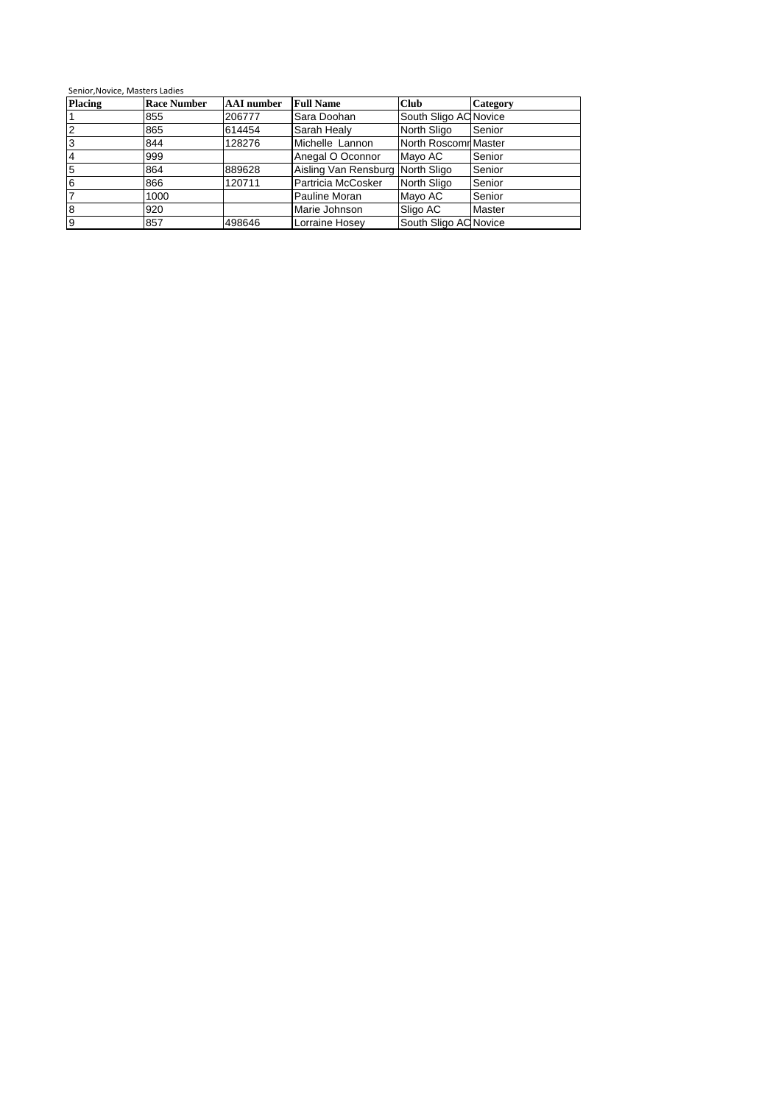| <b>Placing</b> | <b>Race Number</b> | <b>AAI</b> number | <b>Full Name</b>                 | <b>Club</b>           | <b>Category</b> |
|----------------|--------------------|-------------------|----------------------------------|-----------------------|-----------------|
|                | 855                | 206777            | Sara Doohan                      | South Sligo AC Novice |                 |
|                | 865                | 614454            | Sarah Healy                      | North Sligo           | Senior          |
| 3              | 844                | 128276            | Michelle Lannon                  | North Roscomn Master  |                 |
| 4              | 999                |                   | Anegal O Oconnor                 | Mayo AC               | Senior          |
| 5              | 864                | 889628            | Aisling Van Rensburg North Sligo |                       | Senior          |
| 6              | 866                | 120711            | Partricia McCosker               | North Sligo           | Senior          |
|                | 1000               |                   | Pauline Moran                    | Mayo AC               | Senior          |
| 8              | 920                |                   | Marie Johnson                    | Sligo AC              | Master          |
| 9              | 857                | 498646            | Lorraine Hosey                   | South Sligo AC Novice |                 |